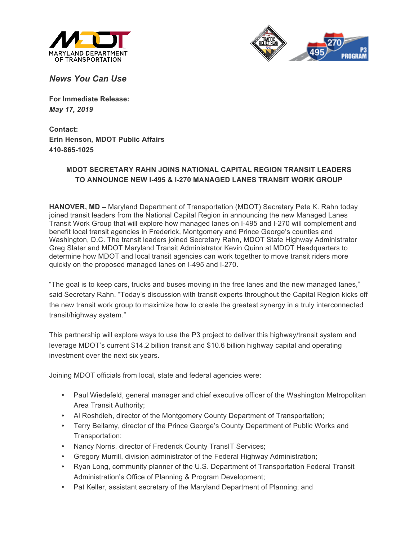



*News You Can Use*

**For Immediate Release:** *May 17, 2019*

**Contact: Erin Henson, MDOT Public Affairs 410-865-1025**

## **MDOT SECRETARY RAHN JOINS NATIONAL CAPITAL REGION TRANSIT LEADERS TO ANNOUNCE NEW I-495 & I-270 MANAGED LANES TRANSIT WORK GROUP**

**HANOVER, MD –** Maryland Department of Transportation (MDOT) Secretary Pete K. Rahn today joined transit leaders from the National Capital Region in announcing the new Managed Lanes Transit Work Group that will explore how managed lanes on I-495 and I-270 will complement and benefit local transit agencies in Frederick, Montgomery and Prince George's counties and Washington, D.C. The transit leaders joined Secretary Rahn, MDOT State Highway Administrator Greg Slater and MDOT Maryland Transit Administrator Kevin Quinn at MDOT Headquarters to determine how MDOT and local transit agencies can work together to move transit riders more quickly on the proposed managed lanes on I-495 and I-270.

"The goal is to keep cars, trucks and buses moving in the free lanes and the new managed lanes," said Secretary Rahn. "Today's discussion with transit experts throughout the Capital Region kicks off the new transit work group to maximize how to create the greatest synergy in a truly interconnected transit/highway system."

This partnership will explore ways to use the P3 project to deliver this highway/transit system and leverage MDOT's current \$14.2 billion transit and \$10.6 billion highway capital and operating investment over the next six years.

Joining MDOT officials from local, state and federal agencies were:

- Paul Wiedefeld, general manager and chief executive officer of the Washington Metropolitan Area Transit Authority;
- Al Roshdieh, director of the Montgomery County Department of Transportation;
- Terry Bellamy, director of the Prince George's County Department of Public Works and Transportation;
- Nancy Norris, director of Frederick County TransIT Services;
- Gregory Murrill, division administrator of the Federal Highway Administration;
- Ryan Long, community planner of the U.S. Department of Transportation Federal Transit Administration's Office of Planning & Program Development;
- Pat Keller, assistant secretary of the Maryland Department of Planning; and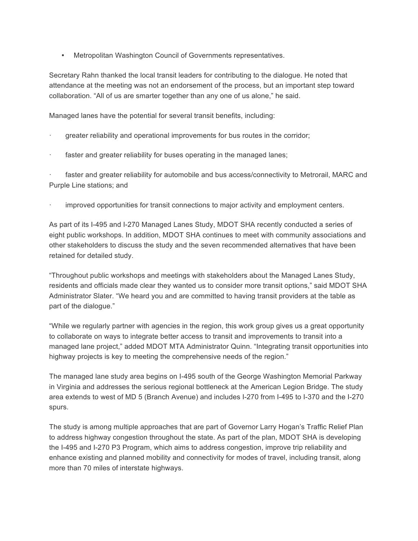• Metropolitan Washington Council of Governments representatives.

Secretary Rahn thanked the local transit leaders for contributing to the dialogue. He noted that attendance at the meeting was not an endorsement of the process, but an important step toward collaboration. "All of us are smarter together than any one of us alone," he said.

Managed lanes have the potential for several transit benefits, including:

- · greater reliability and operational improvements for bus routes in the corridor;
- faster and greater reliability for buses operating in the managed lanes;

faster and greater reliability for automobile and bus access/connectivity to Metrorail, MARC and Purple Line stations; and

· improved opportunities for transit connections to major activity and employment centers.

As part of its I-495 and I-270 Managed Lanes Study, MDOT SHA recently conducted a series of eight public workshops. In addition, MDOT SHA continues to meet with community associations and other stakeholders to discuss the study and the seven recommended alternatives that have been retained for detailed study.

"Throughout public workshops and meetings with stakeholders about the Managed Lanes Study, residents and officials made clear they wanted us to consider more transit options," said MDOT SHA Administrator Slater. "We heard you and are committed to having transit providers at the table as part of the dialogue."

"While we regularly partner with agencies in the region, this work group gives us a great opportunity to collaborate on ways to integrate better access to transit and improvements to transit into a managed lane project," added MDOT MTA Administrator Quinn. "Integrating transit opportunities into highway projects is key to meeting the comprehensive needs of the region."

The managed lane study area begins on I-495 south of the George Washington Memorial Parkway in Virginia and addresses the serious regional bottleneck at the American Legion Bridge. The study area extends to west of MD 5 (Branch Avenue) and includes I-270 from I-495 to I-370 and the I-270 spurs.

The study is among multiple approaches that are part of Governor Larry Hogan's Traffic Relief Plan to address highway congestion throughout the state. As part of the plan, MDOT SHA is developing the I-495 and I-270 P3 Program, which aims to address congestion, improve trip reliability and enhance existing and planned mobility and connectivity for modes of travel, including transit, along more than 70 miles of interstate highways.